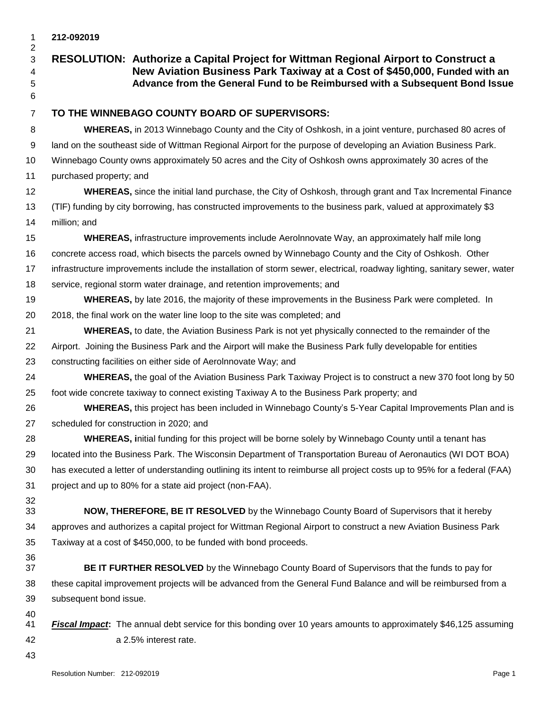## **212-092019 RESOLUTION: Authorize a Capital Project for Wittman Regional Airport to Construct a New Aviation Business Park Taxiway at a Cost of \$450,000, Funded with an Advance from the General Fund to be Reimbursed with a Subsequent Bond Issue TO THE WINNEBAGO COUNTY BOARD OF SUPERVISORS: WHEREAS,** in 2013 Winnebago County and the City of Oshkosh, in a joint venture, purchased 80 acres of land on the southeast side of Wittman Regional Airport for the purpose of developing an Aviation Business Park. Winnebago County owns approximately 50 acres and the City of Oshkosh owns approximately 30 acres of the purchased property; and **WHEREAS,** since the initial land purchase, the City of Oshkosh, through grant and Tax lncremental Finance (TlF) funding by city borrowing, has constructed improvements to the business park, valued at approximately \$3 million; and **WHEREAS,** infrastructure improvements include Aerolnnovate Way, an approximately half mile long concrete access road, which bisects the parcels owned by Winnebago County and the City of Oshkosh. Other infrastructure improvements include the installation of storm sewer, electrical, roadway lighting, sanitary sewer, water service, regional storm water drainage, and retention improvements; and **WHEREAS,** by late 2016, the majority of these improvements in the Business Park were completed. In 2018, the final work on the water line loop to the site was completed; and **WHEREAS,** to date, the Aviation Business Park is not yet physically connected to the remainder of the Airport. Joining the Business Park and the Airport will make the Business Park fully developable for entities constructing facilities on either side of Aerolnnovate Way; and **WHEREAS,** the goal of the Aviation Business Park Taxiway Project is to construct a new 370 foot long by 50 foot wide concrete taxiway to connect existing Taxiway A to the Business Park property; and **WHEREAS,** this project has been included in Winnebago County's 5-Year Capital Improvements Plan and is scheduled for construction in 2020; and **WHEREAS, i**nitial funding for this project will be borne solely by Winnebago County until a tenant has located into the Business Park. The Wisconsin Department of Transportation Bureau of Aeronautics (WI DOT BOA) has executed a letter of understanding outlining its intent to reimburse all project costs up to 95% for a federal (FAA) project and up to 80% for a state aid project (non-FAA). **NOW, THEREFORE, BE IT RESOLVED** by the Winnebago County Board of Supervisors that it hereby approves and authorizes a capital project for Wittman Regional Airport to construct a new Aviation Business Park Taxiway at a cost of \$450,000, to be funded with bond proceeds. **BE IT FURTHER RESOLVED** by the Winnebago County Board of Supervisors that the funds to pay for these capital improvement projects will be advanced from the General Fund Balance and will be reimbursed from a

- 
- *Fiscal Impact***:** The annual debt service for this bonding over 10 years amounts to approximately \$46,125 assuming a 2.5% interest rate.
- 

subsequent bond issue.